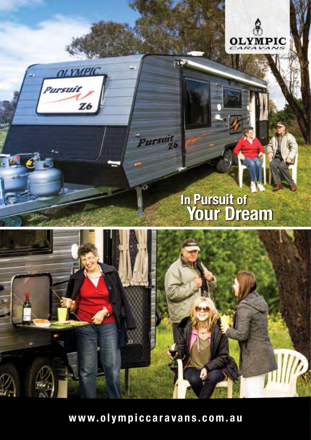



砥

# **In Pursuit of Your Dream**



Pursuit

**www.olympiccaravans.com.au**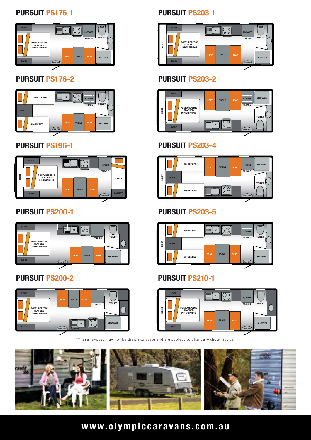#### **PURSUIT PS176-1**



### **PURSUIT PS176-2**



### **PURSUIT PS196-1**



### **PURSUIT PS200-1**



### **PURSUIT PS200-2**



# **PURSUIT PS203-1**



#### **PURSUIT PS203-2**



#### **PURSUIT PS203-4**



# **PURSUIT PS203-5**



#### **PURSUIT PS210-1**



\*These layouts may not be drawn to scale and are subject to change without notice.



# **www.olympiccaravans.com.au**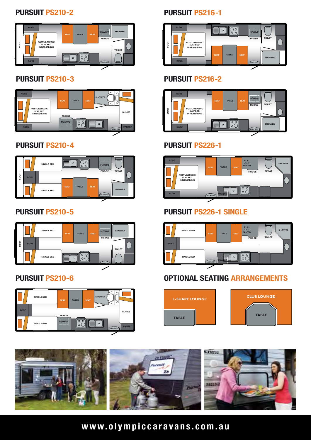#### **PURSUIT PS210-2**



#### **PURSUIT PS210-3**



#### **PURSUIT PS210-4**



### **PURSUIT PS210-5**



### **PURSUIT PS210-6**



# **PURSUIT PS216-1**



# **PURSUIT PS216-2**



#### **PURSUIT PS226-1**



# **PURSUIT PS226-1 SINGLE**







# **www.olympiccaravans.com.au**